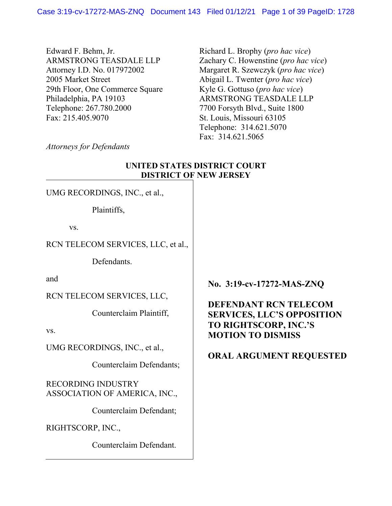Edward F. Behm, Jr. ARMSTRONG TEASDALE LLP Attorney I.D. No. 017972002 2005 Market Street 29th Floor, One Commerce Square Philadelphia, PA 19103 Telephone: 267.780.2000 Fax: 215.405.9070

Richard L. Brophy (*pro hac vice*) Zachary C. Howenstine (*pro hac vice*) Margaret R. Szewczyk (*pro hac vice*) Abigail L. Twenter (*pro hac vice*) Kyle G. Gottuso (*pro hac vice*) ARMSTRONG TEASDALE LLP 7700 Forsyth Blvd., Suite 1800 St. Louis, Missouri 63105 Telephone: 314.621.5070 Fax: 314.621.5065

*Attorneys for Defendants*

# **UNITED STATES DISTRICT COURT DISTRICT OF NEW JERSEY**

UMG RECORDINGS, INC., et al.,

Plaintiffs,

vs.

### RCN TELECOM SERVICES, LLC, et al.,

**Defendants** 

and

RCN TELECOM SERVICES, LLC,

Counterclaim Plaintiff,

vs.

UMG RECORDINGS, INC., et al.,

Counterclaim Defendants;

RECORDING INDUSTRY ASSOCIATION OF AMERICA, INC.,

Counterclaim Defendant;

RIGHTSCORP, INC.,

Counterclaim Defendant.

**No. 3:19-cv-17272-MAS-ZNQ** 

## **DEFENDANT RCN TELECOM SERVICES, LLC'S OPPOSITION TO RIGHTSCORP, INC.'S MOTION TO DISMISS**

# **ORAL ARGUMENT REQUESTED**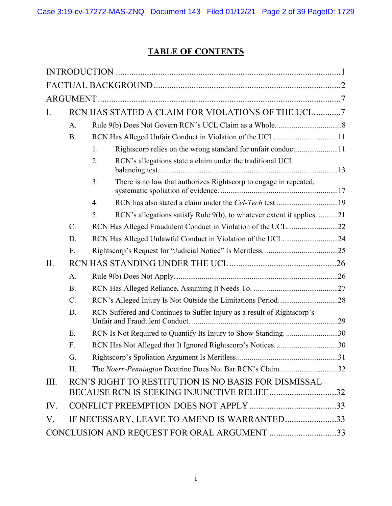# **TABLE OF CONTENTS**

| Ι.                                          |                                             | RCN HAS STATED A CLAIM FOR VIOLATIONS OF THE UCL7                                                  |  |  |  |  |
|---------------------------------------------|---------------------------------------------|----------------------------------------------------------------------------------------------------|--|--|--|--|
|                                             | A.                                          |                                                                                                    |  |  |  |  |
|                                             | B.                                          |                                                                                                    |  |  |  |  |
|                                             |                                             | Rightscorp relies on the wrong standard for unfair conduct11<br>1.                                 |  |  |  |  |
|                                             |                                             | RCN's allegations state a claim under the traditional UCL<br>2.                                    |  |  |  |  |
|                                             |                                             | There is no law that authorizes Rightscorp to engage in repeated,<br>3.                            |  |  |  |  |
|                                             |                                             | $\overline{4}$ .                                                                                   |  |  |  |  |
|                                             |                                             | 5.<br>RCN's allegations satisfy Rule 9(b), to whatever extent it applies. 21                       |  |  |  |  |
|                                             | $C$ .                                       |                                                                                                    |  |  |  |  |
|                                             | D.                                          | RCN Has Alleged Unlawful Conduct in Violation of the UCL. 24                                       |  |  |  |  |
|                                             | Ε.                                          |                                                                                                    |  |  |  |  |
| II.                                         |                                             |                                                                                                    |  |  |  |  |
|                                             | $A$ .                                       |                                                                                                    |  |  |  |  |
|                                             | <b>B.</b>                                   |                                                                                                    |  |  |  |  |
|                                             | $C$ .                                       |                                                                                                    |  |  |  |  |
|                                             | D.                                          | RCN Suffered and Continues to Suffer Injury as a result of Rightscorp's                            |  |  |  |  |
|                                             | E.                                          | RCN Is Not Required to Quantify Its Injury to Show Standing30                                      |  |  |  |  |
|                                             | $F_{\cdot}$                                 | RCN Has Not Alleged that It Ignored Rightscorp's Notices30                                         |  |  |  |  |
|                                             | G.                                          |                                                                                                    |  |  |  |  |
|                                             | H.                                          | The Noerr-Pennington Doctrine Does Not Bar RCN's Claim. 32                                         |  |  |  |  |
| III.                                        |                                             | RCN'S RIGHT TO RESTITUTION IS NO BASIS FOR DISMISSAL<br>BECAUSE RCN IS SEEKING INJUNCTIVE RELIEF32 |  |  |  |  |
| IV.                                         |                                             |                                                                                                    |  |  |  |  |
| V.                                          | IF NECESSARY, LEAVE TO AMEND IS WARRANTED33 |                                                                                                    |  |  |  |  |
| CONCLUSION AND REQUEST FOR ORAL ARGUMENT 33 |                                             |                                                                                                    |  |  |  |  |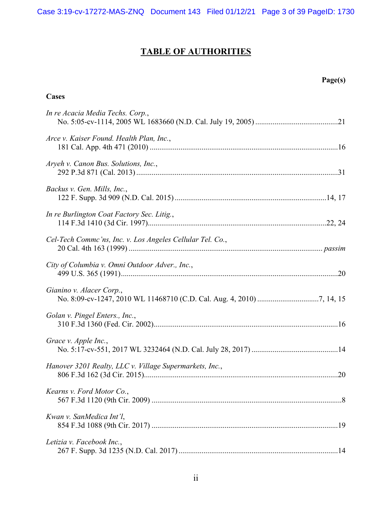# **TABLE OF AUTHORITIES**

**Cases** 

# **Page(s)**

| In re Acacia Media Techs. Corp.,                          |  |
|-----------------------------------------------------------|--|
| Arce v. Kaiser Found. Health Plan, Inc.,                  |  |
| Aryeh v. Canon Bus. Solutions, Inc.,                      |  |
| Backus v. Gen. Mills, Inc.,                               |  |
| In re Burlington Coat Factory Sec. Litig.,                |  |
| Cel-Tech Commc'ns, Inc. v. Los Angeles Cellular Tel. Co., |  |
| City of Columbia v. Omni Outdoor Adver., Inc.,            |  |
| Gianino v. Alacer Corp.,                                  |  |
| Golan v. Pingel Enters., Inc.,                            |  |
| Grace v. Apple Inc.,                                      |  |
| Hanover 3201 Realty, LLC v. Village Supermarkets, Inc.,   |  |
| Kearns v. Ford Motor Co.,                                 |  |
| Kwan v. SanMedica Int'l,                                  |  |
| Letizia v. Facebook Inc.,                                 |  |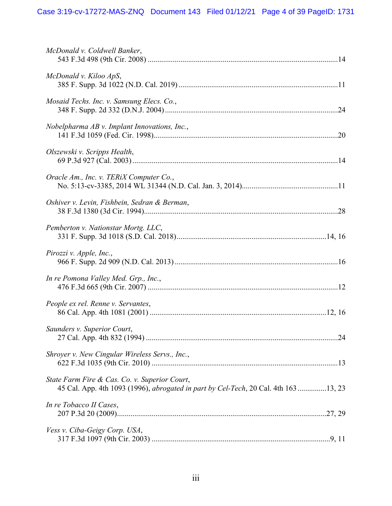| McDonald v. Coldwell Banker,                                                                                                         |
|--------------------------------------------------------------------------------------------------------------------------------------|
| McDonald v. Kiloo ApS,                                                                                                               |
| Mosaid Techs. Inc. v. Samsung Elecs. Co.,                                                                                            |
| Nobelpharma $AB$ v. Implant Innovations, Inc.,                                                                                       |
| Olszewski v. Scripps Health,                                                                                                         |
| Oracle Am., Inc. v. TERiX Computer Co.,                                                                                              |
| Oshiver v. Levin, Fishbein, Sedran & Berman,                                                                                         |
| Pemberton v. Nationstar Mortg. LLC,                                                                                                  |
| Pirozzi v. Apple, Inc.,                                                                                                              |
| In re Pomona Valley Med. Grp., Inc.,                                                                                                 |
| People ex rel. Renne v. Servantes,                                                                                                   |
| Saunders v. Superior Court,                                                                                                          |
| Shroyer v. New Cingular Wireless Servs., Inc.,                                                                                       |
| State Farm Fire & Cas. Co. v. Superior Court,<br>45 Cal. App. 4th 1093 (1996), abrogated in part by Cel-Tech, 20 Cal. 4th 163 13, 23 |
| In re Tobacco II Cases,                                                                                                              |
| Vess v. Ciba-Geigy Corp. USA,                                                                                                        |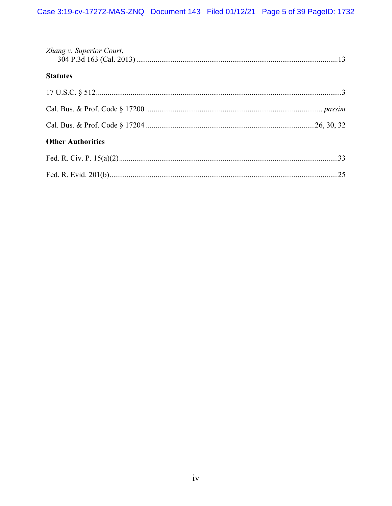| Zhang v. Superior Court, |     |
|--------------------------|-----|
| <b>Statutes</b>          |     |
|                          |     |
|                          |     |
|                          |     |
| <b>Other Authorities</b> |     |
|                          |     |
|                          | .25 |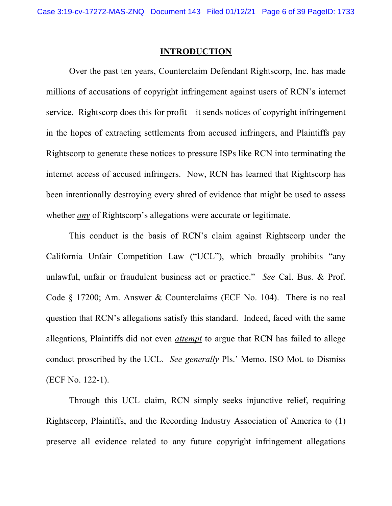#### **INTRODUCTION**

 Over the past ten years, Counterclaim Defendant Rightscorp, Inc. has made millions of accusations of copyright infringement against users of RCN's internet service. Rightscorp does this for profit—it sends notices of copyright infringement in the hopes of extracting settlements from accused infringers, and Plaintiffs pay Rightscorp to generate these notices to pressure ISPs like RCN into terminating the internet access of accused infringers. Now, RCN has learned that Rightscorp has been intentionally destroying every shred of evidence that might be used to assess whether *any* of Rightscorp's allegations were accurate or legitimate.

 This conduct is the basis of RCN's claim against Rightscorp under the California Unfair Competition Law ("UCL"), which broadly prohibits "any unlawful, unfair or fraudulent business act or practice." *See* Cal. Bus. & Prof. Code § 17200; Am. Answer & Counterclaims (ECF No. 104). There is no real question that RCN's allegations satisfy this standard. Indeed, faced with the same allegations, Plaintiffs did not even *attempt* to argue that RCN has failed to allege conduct proscribed by the UCL. *See generally* Pls.' Memo. ISO Mot. to Dismiss (ECF No. 122-1).

 Through this UCL claim, RCN simply seeks injunctive relief, requiring Rightscorp, Plaintiffs, and the Recording Industry Association of America to (1) preserve all evidence related to any future copyright infringement allegations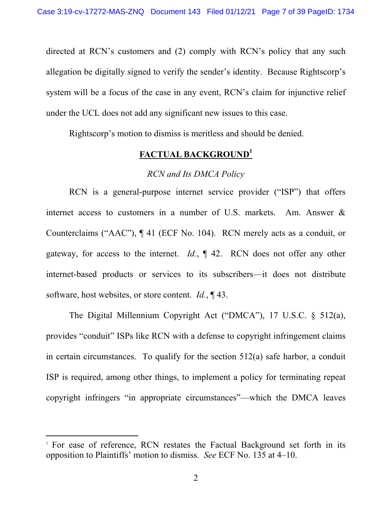directed at RCN's customers and (2) comply with RCN's policy that any such allegation be digitally signed to verify the sender's identity. Because Rightscorp's system will be a focus of the case in any event, RCN's claim for injunctive relief under the UCL does not add any significant new issues to this case.

Rightscorp's motion to dismiss is meritless and should be denied.

## **FACTUAL BACKGROUND1**

#### *RCN and Its DMCA Policy*

RCN is a general-purpose internet service provider ("ISP") that offers internet access to customers in a number of U.S. markets. Am. Answer & Counterclaims ("AAC"), ¶ 41 (ECF No. 104). RCN merely acts as a conduit, or gateway, for access to the internet. *Id.*, ¶ 42. RCN does not offer any other internet-based products or services to its subscribers—it does not distribute software, host websites, or store content. *Id.*, ¶ 43.

 The Digital Millennium Copyright Act ("DMCA"), 17 U.S.C. § 512(a), provides "conduit" ISPs like RCN with a defense to copyright infringement claims in certain circumstances. To qualify for the section 512(a) safe harbor, a conduit ISP is required, among other things, to implement a policy for terminating repeat copyright infringers "in appropriate circumstances"—which the DMCA leaves

<sup>&</sup>lt;sup>1</sup> For ease of reference, RCN restates the Factual Background set forth in its opposition to Plaintiffs' motion to dismiss. *See* ECF No. 135 at 4–10.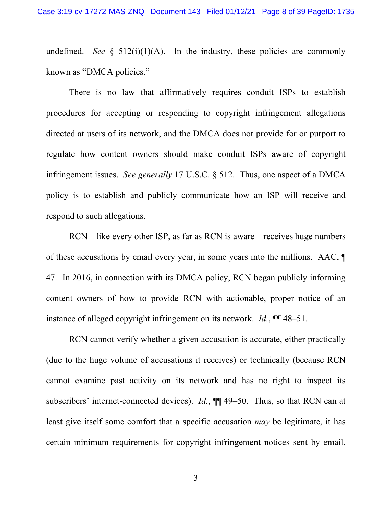undefined. *See*  $\S$  512(i)(1)(A). In the industry, these policies are commonly known as "DMCA policies."

 There is no law that affirmatively requires conduit ISPs to establish procedures for accepting or responding to copyright infringement allegations directed at users of its network, and the DMCA does not provide for or purport to regulate how content owners should make conduit ISPs aware of copyright infringement issues. *See generally* 17 U.S.C. § 512. Thus, one aspect of a DMCA policy is to establish and publicly communicate how an ISP will receive and respond to such allegations.

 RCN—like every other ISP, as far as RCN is aware—receives huge numbers of these accusations by email every year, in some years into the millions. AAC, ¶ 47. In 2016, in connection with its DMCA policy, RCN began publicly informing content owners of how to provide RCN with actionable, proper notice of an instance of alleged copyright infringement on its network. *Id.*, ¶¶ 48–51.

RCN cannot verify whether a given accusation is accurate, either practically (due to the huge volume of accusations it receives) or technically (because RCN cannot examine past activity on its network and has no right to inspect its subscribers' internet-connected devices). *Id.*, ¶¶ 49–50. Thus, so that RCN can at least give itself some comfort that a specific accusation *may* be legitimate, it has certain minimum requirements for copyright infringement notices sent by email.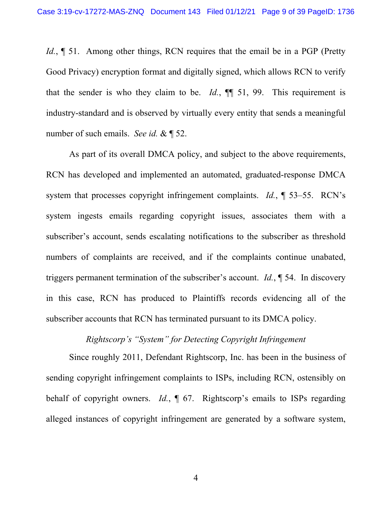*Id.*,  $\parallel$  51. Among other things, RCN requires that the email be in a PGP (Pretty Good Privacy) encryption format and digitally signed, which allows RCN to verify that the sender is who they claim to be.  $Id.$ ,  $\P\P$  51, 99. This requirement is industry-standard and is observed by virtually every entity that sends a meaningful number of such emails. *See id.* & ¶ 52.

 As part of its overall DMCA policy, and subject to the above requirements, RCN has developed and implemented an automated, graduated-response DMCA system that processes copyright infringement complaints. *Id.*, ¶ 53–55. RCN's system ingests emails regarding copyright issues, associates them with a subscriber's account, sends escalating notifications to the subscriber as threshold numbers of complaints are received, and if the complaints continue unabated, triggers permanent termination of the subscriber's account. *Id.*, ¶ 54. In discovery in this case, RCN has produced to Plaintiffs records evidencing all of the subscriber accounts that RCN has terminated pursuant to its DMCA policy.

# *Rightscorp's "System" for Detecting Copyright Infringement*

 Since roughly 2011, Defendant Rightscorp, Inc. has been in the business of sending copyright infringement complaints to ISPs, including RCN, ostensibly on behalf of copyright owners. *Id.*, ¶ 67. Rightscorp's emails to ISPs regarding alleged instances of copyright infringement are generated by a software system,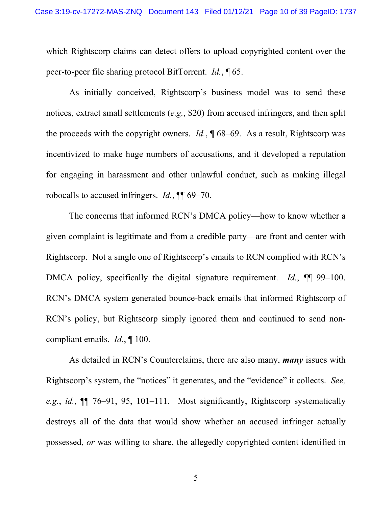which Rightscorp claims can detect offers to upload copyrighted content over the peer-to-peer file sharing protocol BitTorrent. *Id.*, ¶ 65.

As initially conceived, Rightscorp's business model was to send these notices, extract small settlements (*e.g.*, \$20) from accused infringers, and then split the proceeds with the copyright owners. *Id.*, ¶ 68–69. As a result, Rightscorp was incentivized to make huge numbers of accusations, and it developed a reputation for engaging in harassment and other unlawful conduct, such as making illegal robocalls to accused infringers. *Id.*, ¶¶ 69–70.

 The concerns that informed RCN's DMCA policy—how to know whether a given complaint is legitimate and from a credible party—are front and center with Rightscorp. Not a single one of Rightscorp's emails to RCN complied with RCN's DMCA policy, specifically the digital signature requirement. *Id.*, ¶¶ 99–100. RCN's DMCA system generated bounce-back emails that informed Rightscorp of RCN's policy, but Rightscorp simply ignored them and continued to send noncompliant emails. *Id.*, ¶ 100.

As detailed in RCN's Counterclaims, there are also many, *many* issues with Rightscorp's system, the "notices" it generates, and the "evidence" it collects. *See, e.g.*, *id.*, ¶¶ 76–91, 95, 101–111. Most significantly, Rightscorp systematically destroys all of the data that would show whether an accused infringer actually possessed, *or* was willing to share, the allegedly copyrighted content identified in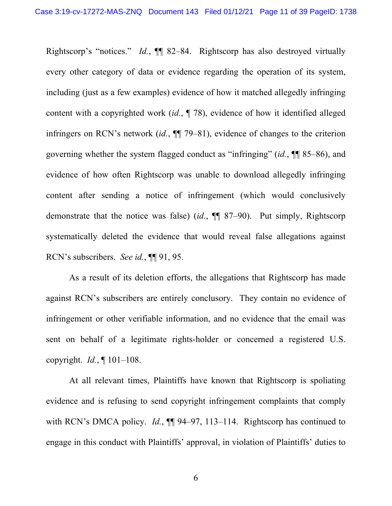Rightscorp's "notices." *Id.*, ¶¶ 82–84. Rightscorp has also destroyed virtually every other category of data or evidence regarding the operation of its system, including (just as a few examples) evidence of how it matched allegedly infringing content with a copyrighted work (*id.*, ¶ 78), evidence of how it identified alleged infringers on RCN's network (*id.*, ¶¶ 79–81), evidence of changes to the criterion governing whether the system flagged conduct as "infringing" (*id.*, ¶¶ 85–86), and evidence of how often Rightscorp was unable to download allegedly infringing content after sending a notice of infringement (which would conclusively demonstrate that the notice was false) (*id.*, ¶¶ 87–90). Put simply, Rightscorp systematically deleted the evidence that would reveal false allegations against RCN's subscribers. *See id.*, ¶¶ 91, 95.

As a result of its deletion efforts, the allegations that Rightscorp has made against RCN's subscribers are entirely conclusory. They contain no evidence of infringement or other verifiable information, and no evidence that the email was sent on behalf of a legitimate rights-holder or concerned a registered U.S. copyright. *Id.*, ¶ 101–108.

 At all relevant times, Plaintiffs have known that Rightscorp is spoliating evidence and is refusing to send copyright infringement complaints that comply with RCN's DMCA policy. *Id.*,  $\P\P$  94–97, 113–114. Rightscorp has continued to engage in this conduct with Plaintiffs' approval, in violation of Plaintiffs' duties to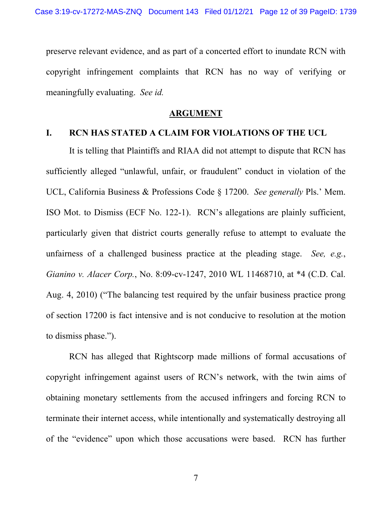preserve relevant evidence, and as part of a concerted effort to inundate RCN with copyright infringement complaints that RCN has no way of verifying or meaningfully evaluating. *See id.* 

#### **ARGUMENT**

#### **I. RCN HAS STATED A CLAIM FOR VIOLATIONS OF THE UCL**

It is telling that Plaintiffs and RIAA did not attempt to dispute that RCN has sufficiently alleged "unlawful, unfair, or fraudulent" conduct in violation of the UCL, California Business & Professions Code § 17200. *See generally* Pls.' Mem. ISO Mot. to Dismiss (ECF No. 122-1). RCN's allegations are plainly sufficient, particularly given that district courts generally refuse to attempt to evaluate the unfairness of a challenged business practice at the pleading stage. *See, e.g.*, *Gianino v. Alacer Corp.*, No. 8:09-cv-1247, 2010 WL 11468710, at \*4 (C.D. Cal. Aug. 4, 2010) ("The balancing test required by the unfair business practice prong of section 17200 is fact intensive and is not conducive to resolution at the motion to dismiss phase.").

RCN has alleged that Rightscorp made millions of formal accusations of copyright infringement against users of RCN's network, with the twin aims of obtaining monetary settlements from the accused infringers and forcing RCN to terminate their internet access, while intentionally and systematically destroying all of the "evidence" upon which those accusations were based. RCN has further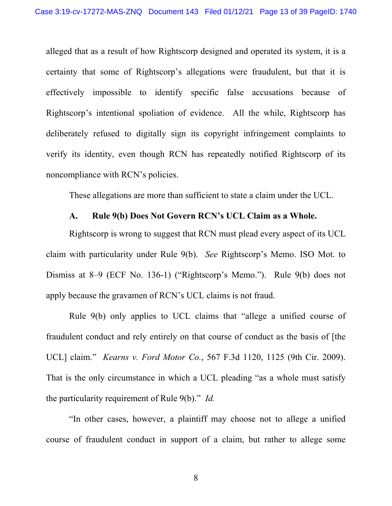alleged that as a result of how Rightscorp designed and operated its system, it is a certainty that some of Rightscorp's allegations were fraudulent, but that it is effectively impossible to identify specific false accusations because of Rightscorp's intentional spoliation of evidence. All the while, Rightscorp has deliberately refused to digitally sign its copyright infringement complaints to verify its identity, even though RCN has repeatedly notified Rightscorp of its noncompliance with RCN's policies.

These allegations are more than sufficient to state a claim under the UCL.

#### **A. Rule 9(b) Does Not Govern RCN's UCL Claim as a Whole.**

Rightscorp is wrong to suggest that RCN must plead every aspect of its UCL claim with particularity under Rule 9(b). *See* Rightscorp's Memo. ISO Mot. to Dismiss at 8–9 (ECF No. 136-1) ("Rightscorp's Memo."). Rule 9(b) does not apply because the gravamen of RCN's UCL claims is not fraud.

Rule 9(b) only applies to UCL claims that "allege a unified course of fraudulent conduct and rely entirely on that course of conduct as the basis of [the UCL] claim." *Kearns v. Ford Motor Co.*, 567 F.3d 1120, 1125 (9th Cir. 2009). That is the only circumstance in which a UCL pleading "as a whole must satisfy the particularity requirement of Rule 9(b)." *Id.*

"In other cases, however, a plaintiff may choose not to allege a unified course of fraudulent conduct in support of a claim, but rather to allege some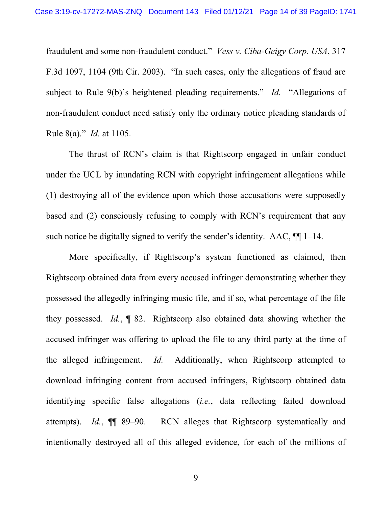fraudulent and some non-fraudulent conduct." *Vess v. Ciba-Geigy Corp. USA*, 317 F.3d 1097, 1104 (9th Cir. 2003). "In such cases, only the allegations of fraud are subject to Rule 9(b)'s heightened pleading requirements." *Id.* "Allegations of non-fraudulent conduct need satisfy only the ordinary notice pleading standards of Rule 8(a)." *Id.* at 1105.

The thrust of RCN's claim is that Rightscorp engaged in unfair conduct under the UCL by inundating RCN with copyright infringement allegations while (1) destroying all of the evidence upon which those accusations were supposedly based and (2) consciously refusing to comply with RCN's requirement that any such notice be digitally signed to verify the sender's identity. AAC,  $\P\P$  1–14.

More specifically, if Rightscorp's system functioned as claimed, then Rightscorp obtained data from every accused infringer demonstrating whether they possessed the allegedly infringing music file, and if so, what percentage of the file they possessed. *Id.*, ¶ 82. Rightscorp also obtained data showing whether the accused infringer was offering to upload the file to any third party at the time of the alleged infringement. *Id.* Additionally, when Rightscorp attempted to download infringing content from accused infringers, Rightscorp obtained data identifying specific false allegations (*i.e.*, data reflecting failed download attempts). *Id.*, ¶¶ 89–90. RCN alleges that Rightscorp systematically and intentionally destroyed all of this alleged evidence, for each of the millions of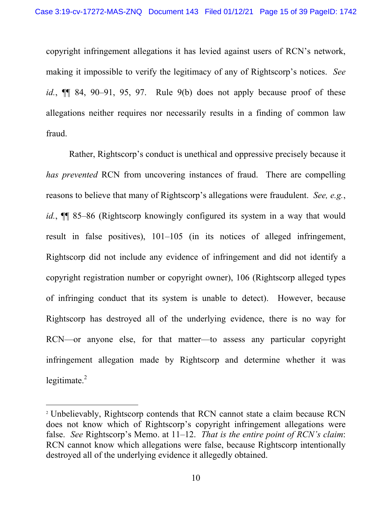copyright infringement allegations it has levied against users of RCN's network, making it impossible to verify the legitimacy of any of Rightscorp's notices. *See id.*, ¶¶ 84, 90–91, 95, 97. Rule 9(b) does not apply because proof of these allegations neither requires nor necessarily results in a finding of common law fraud.

Rather, Rightscorp's conduct is unethical and oppressive precisely because it *has prevented* RCN from uncovering instances of fraud. There are compelling reasons to believe that many of Rightscorp's allegations were fraudulent. *See, e.g.*, *id.*,  $\P$  85–86 (Rightscorp knowingly configured its system in a way that would result in false positives), 101–105 (in its notices of alleged infringement, Rightscorp did not include any evidence of infringement and did not identify a copyright registration number or copyright owner), 106 (Rightscorp alleged types of infringing conduct that its system is unable to detect). However, because Rightscorp has destroyed all of the underlying evidence, there is no way for RCN—or anyone else, for that matter—to assess any particular copyright infringement allegation made by Rightscorp and determine whether it was legitimate. $2$ 

<sup>2</sup> Unbelievably, Rightscorp contends that RCN cannot state a claim because RCN does not know which of Rightscorp's copyright infringement allegations were false. *See* Rightscorp's Memo. at 11–12. *That is the entire point of RCN's claim*: RCN cannot know which allegations were false, because Rightscorp intentionally destroyed all of the underlying evidence it allegedly obtained.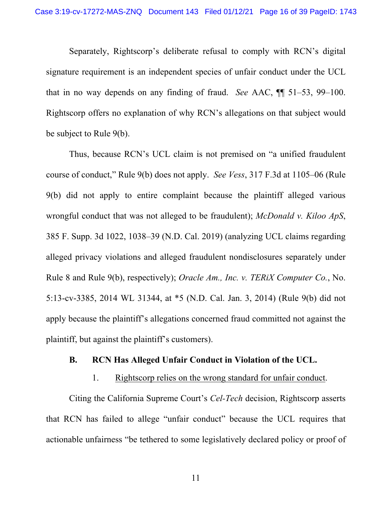Separately, Rightscorp's deliberate refusal to comply with RCN's digital signature requirement is an independent species of unfair conduct under the UCL that in no way depends on any finding of fraud. *See* AAC, ¶¶ 51–53, 99–100. Rightscorp offers no explanation of why RCN's allegations on that subject would be subject to Rule 9(b).

Thus, because RCN's UCL claim is not premised on "a unified fraudulent course of conduct," Rule 9(b) does not apply. *See Vess*, 317 F.3d at 1105–06 (Rule 9(b) did not apply to entire complaint because the plaintiff alleged various wrongful conduct that was not alleged to be fraudulent); *McDonald v. Kiloo ApS*, 385 F. Supp. 3d 1022, 1038–39 (N.D. Cal. 2019) (analyzing UCL claims regarding alleged privacy violations and alleged fraudulent nondisclosures separately under Rule 8 and Rule 9(b), respectively); *Oracle Am., Inc. v. TERiX Computer Co.*, No. 5:13-cv-3385, 2014 WL 31344, at \*5 (N.D. Cal. Jan. 3, 2014) (Rule 9(b) did not apply because the plaintiff's allegations concerned fraud committed not against the plaintiff, but against the plaintiff's customers).

#### **B. RCN Has Alleged Unfair Conduct in Violation of the UCL.**

#### 1. Rightscorp relies on the wrong standard for unfair conduct.

Citing the California Supreme Court's *Cel-Tech* decision, Rightscorp asserts that RCN has failed to allege "unfair conduct" because the UCL requires that actionable unfairness "be tethered to some legislatively declared policy or proof of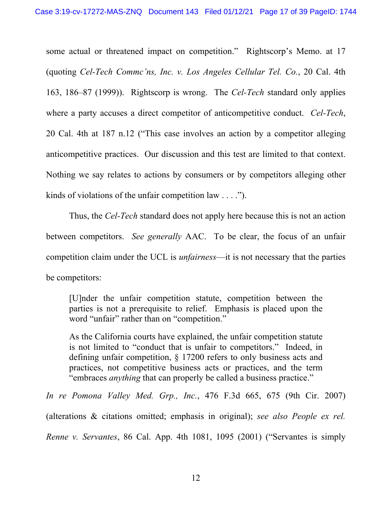some actual or threatened impact on competition." Rightscorp's Memo. at 17 (quoting *Cel-Tech Commc'ns, Inc. v. Los Angeles Cellular Tel. Co.*, 20 Cal. 4th 163, 186–87 (1999)). Rightscorp is wrong. The *Cel-Tech* standard only applies where a party accuses a direct competitor of anticompetitive conduct. *Cel-Tech*, 20 Cal. 4th at 187 n.12 ("This case involves an action by a competitor alleging anticompetitive practices. Our discussion and this test are limited to that context. Nothing we say relates to actions by consumers or by competitors alleging other kinds of violations of the unfair competition law . . . .").

 Thus, the *Cel-Tech* standard does not apply here because this is not an action between competitors. *See generally* AAC. To be clear, the focus of an unfair competition claim under the UCL is *unfairness*—it is not necessary that the parties be competitors:

[U]nder the unfair competition statute, competition between the parties is not a prerequisite to relief. Emphasis is placed upon the word "unfair" rather than on "competition."

As the California courts have explained, the unfair competition statute is not limited to "conduct that is unfair to competitors." Indeed, in defining unfair competition, § 17200 refers to only business acts and practices, not competitive business acts or practices, and the term "embraces *anything* that can properly be called a business practice."

*In re Pomona Valley Med. Grp., Inc.*, 476 F.3d 665, 675 (9th Cir. 2007) (alterations & citations omitted; emphasis in original); *see also People ex rel. Renne v. Servantes*, 86 Cal. App. 4th 1081, 1095 (2001) ("Servantes is simply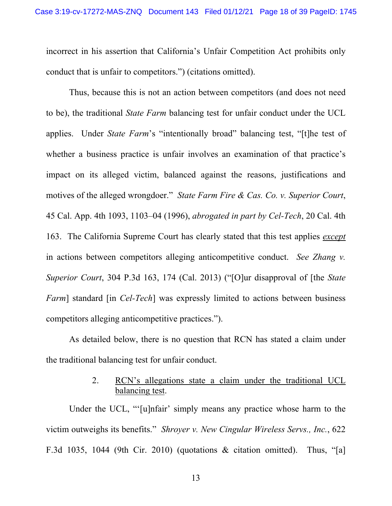incorrect in his assertion that California's Unfair Competition Act prohibits only conduct that is unfair to competitors.") (citations omitted).

Thus, because this is not an action between competitors (and does not need to be), the traditional *State Farm* balancing test for unfair conduct under the UCL applies. Under *State Farm*'s "intentionally broad" balancing test, "[t]he test of whether a business practice is unfair involves an examination of that practice's impact on its alleged victim, balanced against the reasons, justifications and motives of the alleged wrongdoer." *State Farm Fire & Cas. Co. v. Superior Court*, 45 Cal. App. 4th 1093, 1103–04 (1996), *abrogated in part by Cel-Tech*, 20 Cal. 4th 163. The California Supreme Court has clearly stated that this test applies *except* in actions between competitors alleging anticompetitive conduct. *See Zhang v. Superior Court*, 304 P.3d 163, 174 (Cal. 2013) ("[O]ur disapproval of [the *State Farm*] standard [in *Cel-Tech*] was expressly limited to actions between business competitors alleging anticompetitive practices.").

As detailed below, there is no question that RCN has stated a claim under the traditional balancing test for unfair conduct.

# 2. RCN's allegations state a claim under the traditional UCL balancing test.

Under the UCL, "'[u]nfair' simply means any practice whose harm to the victim outweighs its benefits." *Shroyer v. New Cingular Wireless Servs., Inc.*, 622 F.3d 1035, 1044 (9th Cir. 2010) (quotations & citation omitted). Thus, "[a]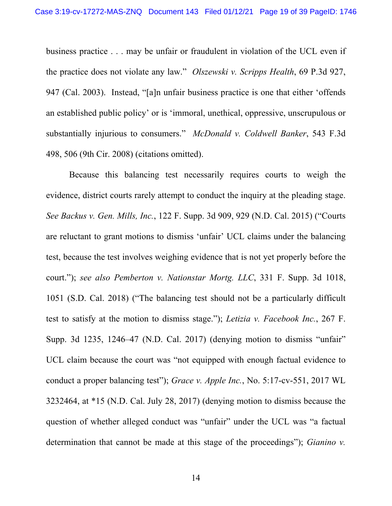business practice . . . may be unfair or fraudulent in violation of the UCL even if the practice does not violate any law." *Olszewski v. Scripps Health*, 69 P.3d 927, 947 (Cal. 2003). Instead, "[a]n unfair business practice is one that either 'offends an established public policy' or is 'immoral, unethical, oppressive, unscrupulous or substantially injurious to consumers." *McDonald v. Coldwell Banker*, 543 F.3d 498, 506 (9th Cir. 2008) (citations omitted).

Because this balancing test necessarily requires courts to weigh the evidence, district courts rarely attempt to conduct the inquiry at the pleading stage. *See Backus v. Gen. Mills, Inc.*, 122 F. Supp. 3d 909, 929 (N.D. Cal. 2015) ("Courts are reluctant to grant motions to dismiss 'unfair' UCL claims under the balancing test, because the test involves weighing evidence that is not yet properly before the court."); *see also Pemberton v. Nationstar Mortg. LLC*, 331 F. Supp. 3d 1018, 1051 (S.D. Cal. 2018) ("The balancing test should not be a particularly difficult test to satisfy at the motion to dismiss stage."); *Letizia v. Facebook Inc.*, 267 F. Supp. 3d 1235, 1246–47 (N.D. Cal. 2017) (denying motion to dismiss "unfair" UCL claim because the court was "not equipped with enough factual evidence to conduct a proper balancing test"); *Grace v. Apple Inc.*, No. 5:17-cv-551, 2017 WL 3232464, at \*15 (N.D. Cal. July 28, 2017) (denying motion to dismiss because the question of whether alleged conduct was "unfair" under the UCL was "a factual determination that cannot be made at this stage of the proceedings"); *Gianino v.*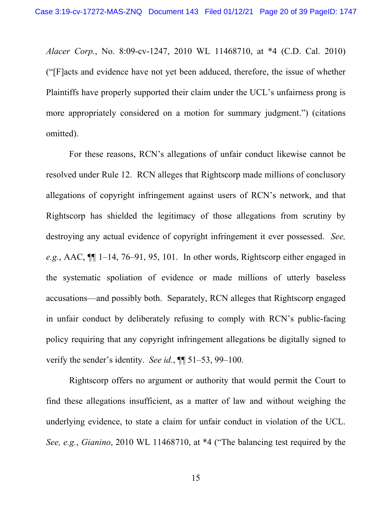*Alacer Corp.*, No. 8:09-cv-1247, 2010 WL 11468710, at \*4 (C.D. Cal. 2010) ("[F]acts and evidence have not yet been adduced, therefore, the issue of whether Plaintiffs have properly supported their claim under the UCL's unfairness prong is more appropriately considered on a motion for summary judgment.") (citations omitted).

 For these reasons, RCN's allegations of unfair conduct likewise cannot be resolved under Rule 12. RCN alleges that Rightscorp made millions of conclusory allegations of copyright infringement against users of RCN's network, and that Rightscorp has shielded the legitimacy of those allegations from scrutiny by destroying any actual evidence of copyright infringement it ever possessed. *See, e.g.*, AAC, ¶¶ 1–14, 76–91, 95, 101. In other words, Rightscorp either engaged in the systematic spoliation of evidence or made millions of utterly baseless accusations—and possibly both. Separately, RCN alleges that Rightscorp engaged in unfair conduct by deliberately refusing to comply with RCN's public-facing policy requiring that any copyright infringement allegations be digitally signed to verify the sender's identity. *See id.*, ¶¶ 51–53, 99–100.

Rightscorp offers no argument or authority that would permit the Court to find these allegations insufficient, as a matter of law and without weighing the underlying evidence, to state a claim for unfair conduct in violation of the UCL. *See, e.g.*, *Gianino*, 2010 WL 11468710, at \*4 ("The balancing test required by the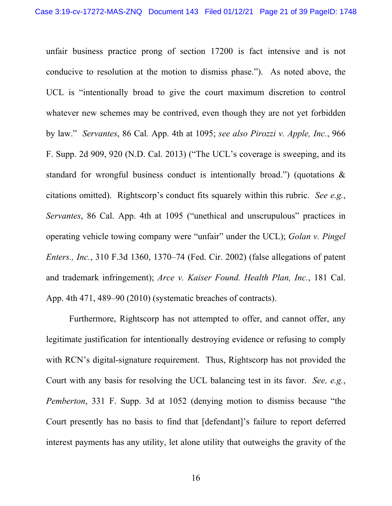unfair business practice prong of section 17200 is fact intensive and is not conducive to resolution at the motion to dismiss phase."). As noted above, the UCL is "intentionally broad to give the court maximum discretion to control whatever new schemes may be contrived, even though they are not yet forbidden by law." *Servantes*, 86 Cal. App. 4th at 1095; *see also Pirozzi v. Apple, Inc.*, 966 F. Supp. 2d 909, 920 (N.D. Cal. 2013) ("The UCL's coverage is sweeping, and its standard for wrongful business conduct is intentionally broad.") (quotations & citations omitted). Rightscorp's conduct fits squarely within this rubric. *See e.g.*, *Servantes*, 86 Cal. App. 4th at 1095 ("unethical and unscrupulous" practices in operating vehicle towing company were "unfair" under the UCL); *Golan v. Pingel Enters., Inc.*, 310 F.3d 1360, 1370–74 (Fed. Cir. 2002) (false allegations of patent and trademark infringement); *Arce v. Kaiser Found. Health Plan, Inc.*, 181 Cal. App. 4th 471, 489–90 (2010) (systematic breaches of contracts).

 Furthermore, Rightscorp has not attempted to offer, and cannot offer, any legitimate justification for intentionally destroying evidence or refusing to comply with RCN's digital-signature requirement. Thus, Rightscorp has not provided the Court with any basis for resolving the UCL balancing test in its favor. *See, e.g.*, *Pemberton*, 331 F. Supp. 3d at 1052 (denying motion to dismiss because "the Court presently has no basis to find that [defendant]'s failure to report deferred interest payments has any utility, let alone utility that outweighs the gravity of the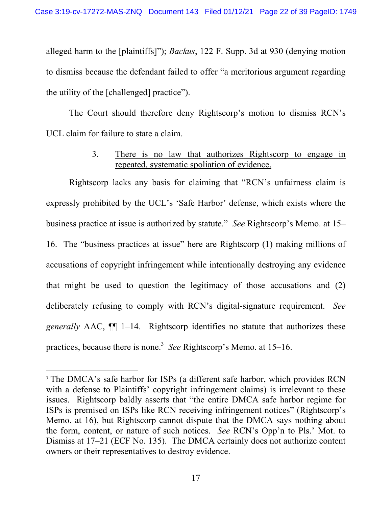alleged harm to the [plaintiffs]"); *Backus*, 122 F. Supp. 3d at 930 (denying motion to dismiss because the defendant failed to offer "a meritorious argument regarding the utility of the [challenged] practice").

The Court should therefore deny Rightscorp's motion to dismiss RCN's UCL claim for failure to state a claim.

> 3. There is no law that authorizes Rightscorp to engage in repeated, systematic spoliation of evidence.

Rightscorp lacks any basis for claiming that "RCN's unfairness claim is expressly prohibited by the UCL's 'Safe Harbor' defense, which exists where the business practice at issue is authorized by statute." *See* Rightscorp's Memo. at 15– 16. The "business practices at issue" here are Rightscorp (1) making millions of accusations of copyright infringement while intentionally destroying any evidence that might be used to question the legitimacy of those accusations and (2) deliberately refusing to comply with RCN's digital-signature requirement. *See generally* AAC, ¶¶ 1–14. Rightscorp identifies no statute that authorizes these practices, because there is none.<sup>3</sup> See Rightscorp's Memo. at 15–16.

<sup>&</sup>lt;sup>3</sup> The DMCA's safe harbor for ISPs (a different safe harbor, which provides RCN with a defense to Plaintiffs' copyright infringement claims) is irrelevant to these issues. Rightscorp baldly asserts that "the entire DMCA safe harbor regime for ISPs is premised on ISPs like RCN receiving infringement notices" (Rightscorp's Memo. at 16), but Rightscorp cannot dispute that the DMCA says nothing about the form, content, or nature of such notices. *See* RCN's Opp'n to Pls.' Mot. to Dismiss at 17–21 (ECF No. 135). The DMCA certainly does not authorize content owners or their representatives to destroy evidence.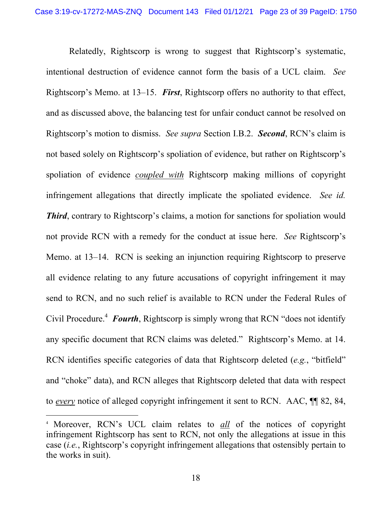Relatedly, Rightscorp is wrong to suggest that Rightscorp's systematic, intentional destruction of evidence cannot form the basis of a UCL claim. *See*  Rightscorp's Memo. at 13–15. *First*, Rightscorp offers no authority to that effect, and as discussed above, the balancing test for unfair conduct cannot be resolved on Rightscorp's motion to dismiss. *See supra* Section I.B.2. *Second*, RCN's claim is not based solely on Rightscorp's spoliation of evidence, but rather on Rightscorp's spoliation of evidence *coupled with* Rightscorp making millions of copyright infringement allegations that directly implicate the spoliated evidence. *See id. Third*, contrary to Rightscorp's claims, a motion for sanctions for spoliation would not provide RCN with a remedy for the conduct at issue here. *See* Rightscorp's Memo. at 13–14. RCN is seeking an injunction requiring Rightscorp to preserve all evidence relating to any future accusations of copyright infringement it may send to RCN, and no such relief is available to RCN under the Federal Rules of Civil Procedure.<sup>4</sup> Fourth, Rightscorp is simply wrong that RCN "does not identify any specific document that RCN claims was deleted." Rightscorp's Memo. at 14. RCN identifies specific categories of data that Rightscorp deleted (*e.g.*, "bitfield" and "choke" data), and RCN alleges that Rightscorp deleted that data with respect to *every* notice of alleged copyright infringement it sent to RCN. AAC, ¶¶ 82, 84,

<sup>4</sup> Moreover, RCN's UCL claim relates to *all* of the notices of copyright infringement Rightscorp has sent to RCN, not only the allegations at issue in this case (*i.e.*, Rightscorp's copyright infringement allegations that ostensibly pertain to the works in suit).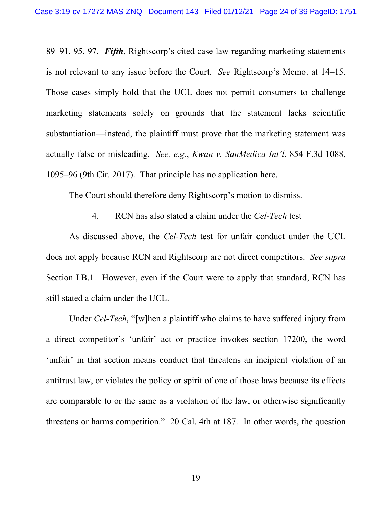89–91, 95, 97. *Fifth*, Rightscorp's cited case law regarding marketing statements is not relevant to any issue before the Court. *See* Rightscorp's Memo. at 14–15. Those cases simply hold that the UCL does not permit consumers to challenge marketing statements solely on grounds that the statement lacks scientific substantiation—instead, the plaintiff must prove that the marketing statement was actually false or misleading. *See, e.g.*, *Kwan v. SanMedica Int'l*, 854 F.3d 1088, 1095–96 (9th Cir. 2017). That principle has no application here.

The Court should therefore deny Rightscorp's motion to dismiss.

## 4. RCN has also stated a claim under the *Cel-Tech* test

As discussed above, the *Cel-Tech* test for unfair conduct under the UCL does not apply because RCN and Rightscorp are not direct competitors. *See supra*  Section I.B.1. However, even if the Court were to apply that standard, RCN has still stated a claim under the UCL.

Under *Cel-Tech*, "[w]hen a plaintiff who claims to have suffered injury from a direct competitor's 'unfair' act or practice invokes section 17200, the word 'unfair' in that section means conduct that threatens an incipient violation of an antitrust law, or violates the policy or spirit of one of those laws because its effects are comparable to or the same as a violation of the law, or otherwise significantly threatens or harms competition." 20 Cal. 4th at 187. In other words, the question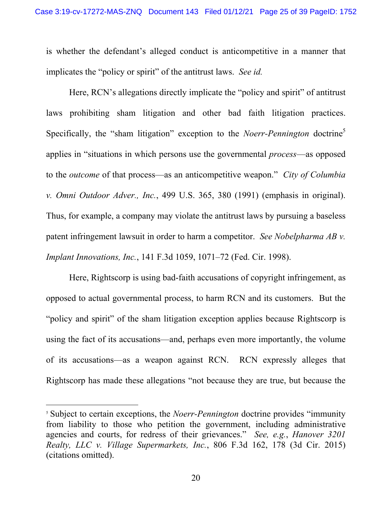is whether the defendant's alleged conduct is anticompetitive in a manner that implicates the "policy or spirit" of the antitrust laws. *See id.*

Here, RCN's allegations directly implicate the "policy and spirit" of antitrust laws prohibiting sham litigation and other bad faith litigation practices. Specifically, the "sham litigation" exception to the *Noerr-Pennington* doctrine<sup>5</sup> applies in "situations in which persons use the governmental *process*—as opposed to the *outcome* of that process—as an anticompetitive weapon." *City of Columbia v. Omni Outdoor Adver., Inc.*, 499 U.S. 365, 380 (1991) (emphasis in original). Thus, for example, a company may violate the antitrust laws by pursuing a baseless patent infringement lawsuit in order to harm a competitor. *See Nobelpharma AB v. Implant Innovations, Inc.*, 141 F.3d 1059, 1071–72 (Fed. Cir. 1998).

Here, Rightscorp is using bad-faith accusations of copyright infringement, as opposed to actual governmental process, to harm RCN and its customers. But the "policy and spirit" of the sham litigation exception applies because Rightscorp is using the fact of its accusations—and, perhaps even more importantly, the volume of its accusations—as a weapon against RCN. RCN expressly alleges that Rightscorp has made these allegations "not because they are true, but because the

<sup>5</sup> Subject to certain exceptions, the *Noerr-Pennington* doctrine provides "immunity from liability to those who petition the government, including administrative agencies and courts, for redress of their grievances." *See, e.g.*, *Hanover 3201 Realty, LLC v. Village Supermarkets, Inc.*, 806 F.3d 162, 178 (3d Cir. 2015) (citations omitted).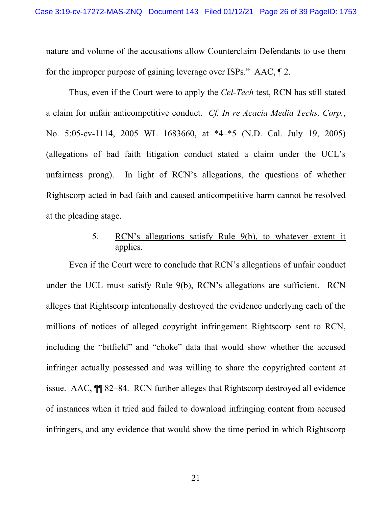nature and volume of the accusations allow Counterclaim Defendants to use them for the improper purpose of gaining leverage over ISPs." AAC, ¶ 2.

Thus, even if the Court were to apply the *Cel-Tech* test, RCN has still stated a claim for unfair anticompetitive conduct. *Cf. In re Acacia Media Techs. Corp.*, No. 5:05-cv-1114, 2005 WL 1683660, at \*4–\*5 (N.D. Cal. July 19, 2005) (allegations of bad faith litigation conduct stated a claim under the UCL's unfairness prong). In light of RCN's allegations, the questions of whether Rightscorp acted in bad faith and caused anticompetitive harm cannot be resolved at the pleading stage.

## 5. RCN's allegations satisfy Rule 9(b), to whatever extent it applies.

Even if the Court were to conclude that RCN's allegations of unfair conduct under the UCL must satisfy Rule 9(b), RCN's allegations are sufficient. RCN alleges that Rightscorp intentionally destroyed the evidence underlying each of the millions of notices of alleged copyright infringement Rightscorp sent to RCN, including the "bitfield" and "choke" data that would show whether the accused infringer actually possessed and was willing to share the copyrighted content at issue. AAC, ¶¶ 82–84. RCN further alleges that Rightscorp destroyed all evidence of instances when it tried and failed to download infringing content from accused infringers, and any evidence that would show the time period in which Rightscorp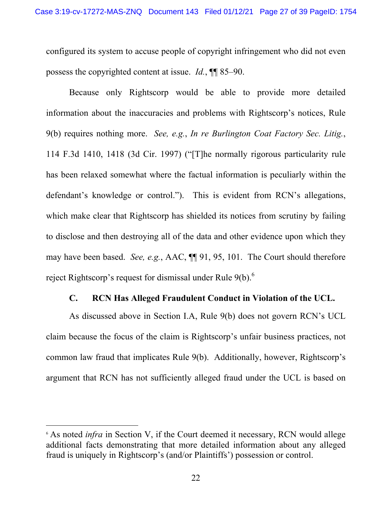configured its system to accuse people of copyright infringement who did not even possess the copyrighted content at issue. *Id.*, ¶¶ 85–90.

Because only Rightscorp would be able to provide more detailed information about the inaccuracies and problems with Rightscorp's notices, Rule 9(b) requires nothing more. *See, e.g.*, *In re Burlington Coat Factory Sec. Litig.*, 114 F.3d 1410, 1418 (3d Cir. 1997) ("[T]he normally rigorous particularity rule has been relaxed somewhat where the factual information is peculiarly within the defendant's knowledge or control."). This is evident from RCN's allegations, which make clear that Rightscorp has shielded its notices from scrutiny by failing to disclose and then destroying all of the data and other evidence upon which they may have been based. *See, e.g.*, AAC, ¶¶ 91, 95, 101. The Court should therefore reject Rightscorp's request for dismissal under Rule 9(b).<sup>6</sup>

### **C. RCN Has Alleged Fraudulent Conduct in Violation of the UCL.**

As discussed above in Section I.A, Rule 9(b) does not govern RCN's UCL claim because the focus of the claim is Rightscorp's unfair business practices, not common law fraud that implicates Rule 9(b). Additionally, however, Rightscorp's argument that RCN has not sufficiently alleged fraud under the UCL is based on

<sup>&</sup>lt;sup>6</sup> As noted *infra* in Section V, if the Court deemed it necessary, RCN would allege additional facts demonstrating that more detailed information about any alleged fraud is uniquely in Rightscorp's (and/or Plaintiffs') possession or control.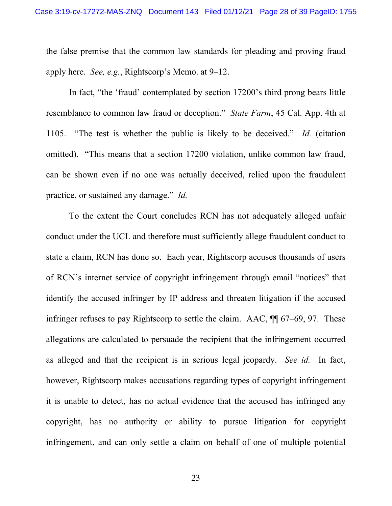the false premise that the common law standards for pleading and proving fraud apply here. *See, e.g.*, Rightscorp's Memo. at 9–12.

In fact, "the 'fraud' contemplated by section 17200's third prong bears little resemblance to common law fraud or deception." *State Farm*, 45 Cal. App. 4th at 1105. "The test is whether the public is likely to be deceived." *Id.* (citation omitted). "This means that a section 17200 violation, unlike common law fraud, can be shown even if no one was actually deceived, relied upon the fraudulent practice, or sustained any damage." *Id.*

To the extent the Court concludes RCN has not adequately alleged unfair conduct under the UCL and therefore must sufficiently allege fraudulent conduct to state a claim, RCN has done so. Each year, Rightscorp accuses thousands of users of RCN's internet service of copyright infringement through email "notices" that identify the accused infringer by IP address and threaten litigation if the accused infringer refuses to pay Rightscorp to settle the claim. AAC, ¶¶ 67–69, 97. These allegations are calculated to persuade the recipient that the infringement occurred as alleged and that the recipient is in serious legal jeopardy. *See id.* In fact, however, Rightscorp makes accusations regarding types of copyright infringement it is unable to detect, has no actual evidence that the accused has infringed any copyright, has no authority or ability to pursue litigation for copyright infringement, and can only settle a claim on behalf of one of multiple potential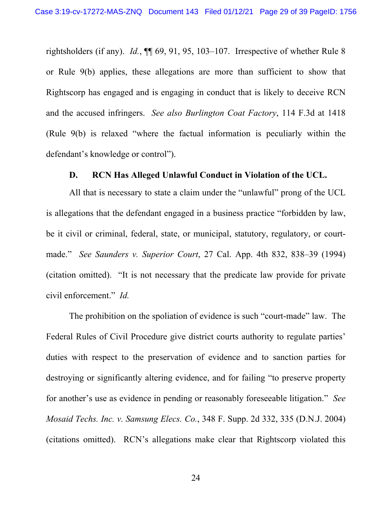rightsholders (if any). *Id.*, ¶¶ 69, 91, 95, 103–107. Irrespective of whether Rule 8 or Rule 9(b) applies, these allegations are more than sufficient to show that Rightscorp has engaged and is engaging in conduct that is likely to deceive RCN and the accused infringers. *See also Burlington Coat Factory*, 114 F.3d at 1418 (Rule 9(b) is relaxed "where the factual information is peculiarly within the defendant's knowledge or control").

### **D. RCN Has Alleged Unlawful Conduct in Violation of the UCL.**

All that is necessary to state a claim under the "unlawful" prong of the UCL is allegations that the defendant engaged in a business practice "forbidden by law, be it civil or criminal, federal, state, or municipal, statutory, regulatory, or courtmade." *See Saunders v. Superior Court*, 27 Cal. App. 4th 832, 838–39 (1994) (citation omitted). "It is not necessary that the predicate law provide for private civil enforcement." *Id.*

The prohibition on the spoliation of evidence is such "court-made" law. The Federal Rules of Civil Procedure give district courts authority to regulate parties' duties with respect to the preservation of evidence and to sanction parties for destroying or significantly altering evidence, and for failing "to preserve property for another's use as evidence in pending or reasonably foreseeable litigation." *See Mosaid Techs. Inc. v. Samsung Elecs. Co.*, 348 F. Supp. 2d 332, 335 (D.N.J. 2004) (citations omitted). RCN's allegations make clear that Rightscorp violated this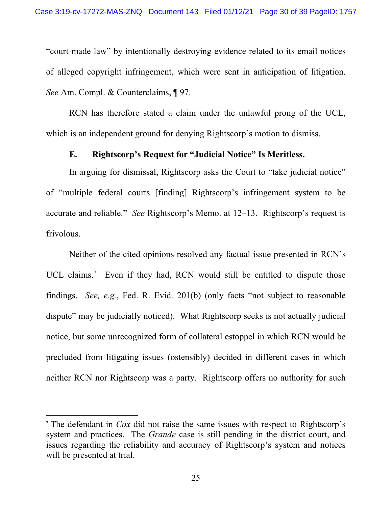"court-made law" by intentionally destroying evidence related to its email notices of alleged copyright infringement, which were sent in anticipation of litigation. *See* Am. Compl. & Counterclaims, ¶ 97.

RCN has therefore stated a claim under the unlawful prong of the UCL, which is an independent ground for denying Rightscorp's motion to dismiss.

## **E. Rightscorp's Request for "Judicial Notice" Is Meritless.**

In arguing for dismissal, Rightscorp asks the Court to "take judicial notice" of "multiple federal courts [finding] Rightscorp's infringement system to be accurate and reliable." *See* Rightscorp's Memo. at 12–13. Rightscorp's request is frivolous.

Neither of the cited opinions resolved any factual issue presented in RCN's UCL claims.<sup>7</sup> Even if they had, RCN would still be entitled to dispute those findings. *See, e.g.*, Fed. R. Evid. 201(b) (only facts "not subject to reasonable dispute" may be judicially noticed). What Rightscorp seeks is not actually judicial notice, but some unrecognized form of collateral estoppel in which RCN would be precluded from litigating issues (ostensibly) decided in different cases in which neither RCN nor Rightscorp was a party. Rightscorp offers no authority for such

<sup>7</sup> The defendant in *Cox* did not raise the same issues with respect to Rightscorp's system and practices. The *Grande* case is still pending in the district court, and issues regarding the reliability and accuracy of Rightscorp's system and notices will be presented at trial.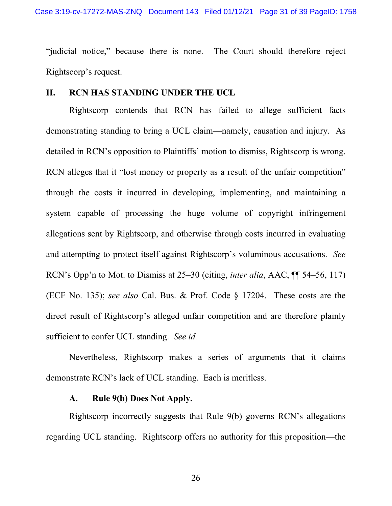"judicial notice," because there is none. The Court should therefore reject Rightscorp's request.

## **II. RCN HAS STANDING UNDER THE UCL**

Rightscorp contends that RCN has failed to allege sufficient facts demonstrating standing to bring a UCL claim—namely, causation and injury. As detailed in RCN's opposition to Plaintiffs' motion to dismiss, Rightscorp is wrong. RCN alleges that it "lost money or property as a result of the unfair competition" through the costs it incurred in developing, implementing, and maintaining a system capable of processing the huge volume of copyright infringement allegations sent by Rightscorp, and otherwise through costs incurred in evaluating and attempting to protect itself against Rightscorp's voluminous accusations. *See*  RCN's Opp'n to Mot. to Dismiss at 25–30 (citing, *inter alia*, AAC, ¶¶ 54–56, 117) (ECF No. 135); *see also* Cal. Bus. & Prof. Code § 17204. These costs are the direct result of Rightscorp's alleged unfair competition and are therefore plainly sufficient to confer UCL standing. *See id.*

 Nevertheless, Rightscorp makes a series of arguments that it claims demonstrate RCN's lack of UCL standing. Each is meritless.

## **A. Rule 9(b) Does Not Apply.**

 Rightscorp incorrectly suggests that Rule 9(b) governs RCN's allegations regarding UCL standing. Rightscorp offers no authority for this proposition—the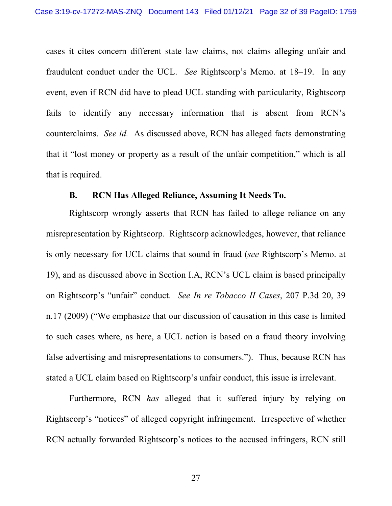cases it cites concern different state law claims, not claims alleging unfair and fraudulent conduct under the UCL. *See* Rightscorp's Memo. at 18–19. In any event, even if RCN did have to plead UCL standing with particularity, Rightscorp fails to identify any necessary information that is absent from RCN's counterclaims. *See id.* As discussed above, RCN has alleged facts demonstrating that it "lost money or property as a result of the unfair competition," which is all that is required.

### **B. RCN Has Alleged Reliance, Assuming It Needs To.**

Rightscorp wrongly asserts that RCN has failed to allege reliance on any misrepresentation by Rightscorp. Rightscorp acknowledges, however, that reliance is only necessary for UCL claims that sound in fraud (*see* Rightscorp's Memo. at 19), and as discussed above in Section I.A, RCN's UCL claim is based principally on Rightscorp's "unfair" conduct. *See In re Tobacco II Cases*, 207 P.3d 20, 39 n.17 (2009) ("We emphasize that our discussion of causation in this case is limited to such cases where, as here, a UCL action is based on a fraud theory involving false advertising and misrepresentations to consumers."). Thus, because RCN has stated a UCL claim based on Rightscorp's unfair conduct, this issue is irrelevant.

 Furthermore, RCN *has* alleged that it suffered injury by relying on Rightscorp's "notices" of alleged copyright infringement. Irrespective of whether RCN actually forwarded Rightscorp's notices to the accused infringers, RCN still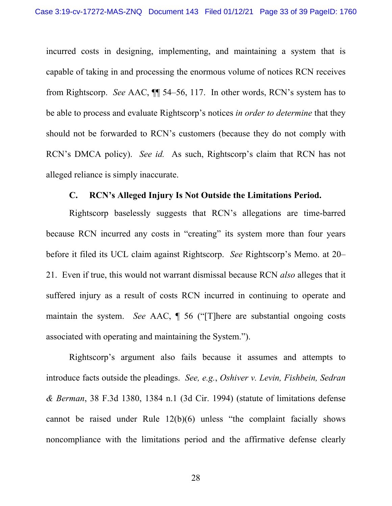incurred costs in designing, implementing, and maintaining a system that is capable of taking in and processing the enormous volume of notices RCN receives from Rightscorp. *See* AAC, ¶¶ 54–56, 117. In other words, RCN's system has to be able to process and evaluate Rightscorp's notices *in order to determine* that they should not be forwarded to RCN's customers (because they do not comply with RCN's DMCA policy). *See id.* As such, Rightscorp's claim that RCN has not alleged reliance is simply inaccurate.

#### **C. RCN's Alleged Injury Is Not Outside the Limitations Period.**

 Rightscorp baselessly suggests that RCN's allegations are time-barred because RCN incurred any costs in "creating" its system more than four years before it filed its UCL claim against Rightscorp. *See* Rightscorp's Memo. at 20– 21. Even if true, this would not warrant dismissal because RCN *also* alleges that it suffered injury as a result of costs RCN incurred in continuing to operate and maintain the system. *See* AAC, ¶ 56 ("[T]here are substantial ongoing costs associated with operating and maintaining the System.").

 Rightscorp's argument also fails because it assumes and attempts to introduce facts outside the pleadings. *See, e.g.*, *Oshiver v. Levin, Fishbein, Sedran & Berman*, 38 F.3d 1380, 1384 n.1 (3d Cir. 1994) (statute of limitations defense cannot be raised under Rule 12(b)(6) unless "the complaint facially shows noncompliance with the limitations period and the affirmative defense clearly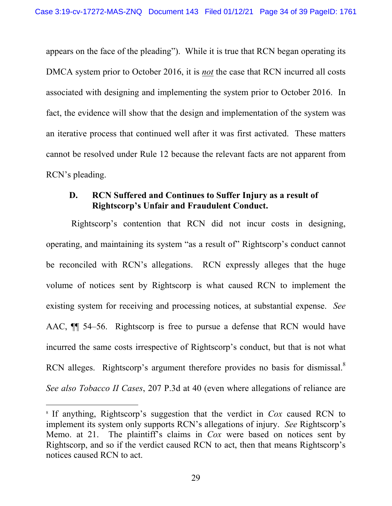appears on the face of the pleading"). While it is true that RCN began operating its DMCA system prior to October 2016, it is *not* the case that RCN incurred all costs associated with designing and implementing the system prior to October 2016. In fact, the evidence will show that the design and implementation of the system was an iterative process that continued well after it was first activated. These matters cannot be resolved under Rule 12 because the relevant facts are not apparent from RCN's pleading.

## **D. RCN Suffered and Continues to Suffer Injury as a result of Rightscorp's Unfair and Fraudulent Conduct.**

 Rightscorp's contention that RCN did not incur costs in designing, operating, and maintaining its system "as a result of" Rightscorp's conduct cannot be reconciled with RCN's allegations. RCN expressly alleges that the huge volume of notices sent by Rightscorp is what caused RCN to implement the existing system for receiving and processing notices, at substantial expense. *See*  AAC, ¶¶ 54–56. Rightscorp is free to pursue a defense that RCN would have incurred the same costs irrespective of Rightscorp's conduct, but that is not what RCN alleges. Rightscorp's argument therefore provides no basis for dismissal.<sup>8</sup> *See also Tobacco II Cases*, 207 P.3d at 40 (even where allegations of reliance are

<sup>8</sup> If anything, Rightscorp's suggestion that the verdict in *Cox* caused RCN to implement its system only supports RCN's allegations of injury. *See* Rightscorp's Memo. at 21. The plaintiff's claims in *Cox* were based on notices sent by Rightscorp, and so if the verdict caused RCN to act, then that means Rightscorp's notices caused RCN to act.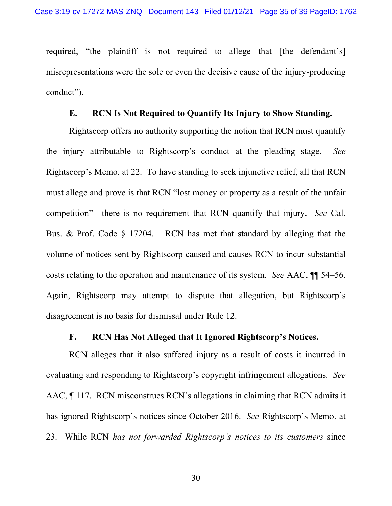required, "the plaintiff is not required to allege that [the defendant's] misrepresentations were the sole or even the decisive cause of the injury-producing conduct").

#### **E. RCN Is Not Required to Quantify Its Injury to Show Standing.**

Rightscorp offers no authority supporting the notion that RCN must quantify the injury attributable to Rightscorp's conduct at the pleading stage. *See*  Rightscorp's Memo. at 22. To have standing to seek injunctive relief, all that RCN must allege and prove is that RCN "lost money or property as a result of the unfair competition"—there is no requirement that RCN quantify that injury. *See* Cal. Bus. & Prof. Code § 17204. RCN has met that standard by alleging that the volume of notices sent by Rightscorp caused and causes RCN to incur substantial costs relating to the operation and maintenance of its system. *See* AAC, ¶¶ 54–56. Again, Rightscorp may attempt to dispute that allegation, but Rightscorp's disagreement is no basis for dismissal under Rule 12.

## **F. RCN Has Not Alleged that It Ignored Rightscorp's Notices.**

RCN alleges that it also suffered injury as a result of costs it incurred in evaluating and responding to Rightscorp's copyright infringement allegations. *See*  AAC, ¶ 117. RCN misconstrues RCN's allegations in claiming that RCN admits it has ignored Rightscorp's notices since October 2016. *See* Rightscorp's Memo. at 23. While RCN *has not forwarded Rightscorp's notices to its customers* since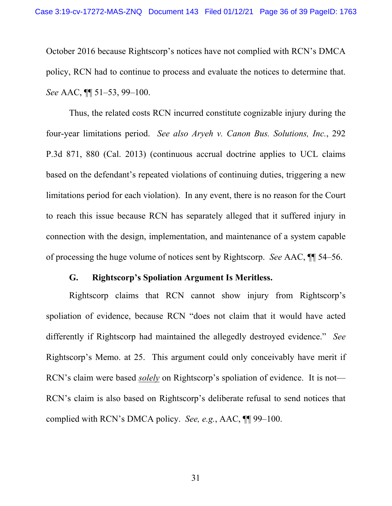October 2016 because Rightscorp's notices have not complied with RCN's DMCA policy, RCN had to continue to process and evaluate the notices to determine that. *See* AAC, ¶¶ 51–53, 99–100.

Thus, the related costs RCN incurred constitute cognizable injury during the four-year limitations period. *See also Aryeh v. Canon Bus. Solutions, Inc.*, 292 P.3d 871, 880 (Cal. 2013) (continuous accrual doctrine applies to UCL claims based on the defendant's repeated violations of continuing duties, triggering a new limitations period for each violation). In any event, there is no reason for the Court to reach this issue because RCN has separately alleged that it suffered injury in connection with the design, implementation, and maintenance of a system capable of processing the huge volume of notices sent by Rightscorp. *See* AAC, ¶¶ 54–56.

#### **G. Rightscorp's Spoliation Argument Is Meritless.**

Rightscorp claims that RCN cannot show injury from Rightscorp's spoliation of evidence, because RCN "does not claim that it would have acted differently if Rightscorp had maintained the allegedly destroyed evidence." *See*  Rightscorp's Memo. at 25. This argument could only conceivably have merit if RCN's claim were based *solely* on Rightscorp's spoliation of evidence. It is not— RCN's claim is also based on Rightscorp's deliberate refusal to send notices that complied with RCN's DMCA policy. *See, e.g.*, AAC, ¶¶ 99–100.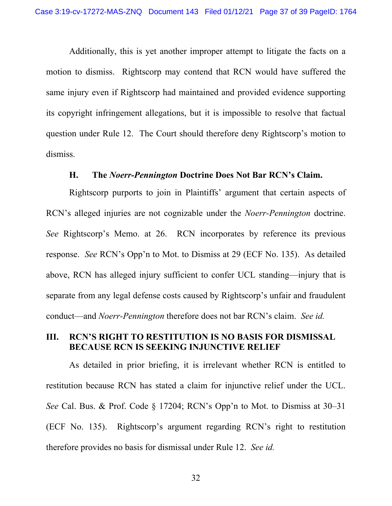Additionally, this is yet another improper attempt to litigate the facts on a motion to dismiss. Rightscorp may contend that RCN would have suffered the same injury even if Rightscorp had maintained and provided evidence supporting its copyright infringement allegations, but it is impossible to resolve that factual question under Rule 12. The Court should therefore deny Rightscorp's motion to dismiss.

#### **H. The** *Noerr-Pennington* **Doctrine Does Not Bar RCN's Claim.**

Rightscorp purports to join in Plaintiffs' argument that certain aspects of RCN's alleged injuries are not cognizable under the *Noerr-Pennington* doctrine. *See* Rightscorp's Memo. at 26. RCN incorporates by reference its previous response. *See* RCN's Opp'n to Mot. to Dismiss at 29 (ECF No. 135). As detailed above, RCN has alleged injury sufficient to confer UCL standing—injury that is separate from any legal defense costs caused by Rightscorp's unfair and fraudulent conduct—and *Noerr-Pennington* therefore does not bar RCN's claim. *See id.*

## **III. RCN'S RIGHT TO RESTITUTION IS NO BASIS FOR DISMISSAL BECAUSE RCN IS SEEKING INJUNCTIVE RELIEF**

As detailed in prior briefing, it is irrelevant whether RCN is entitled to restitution because RCN has stated a claim for injunctive relief under the UCL. *See* Cal. Bus. & Prof. Code § 17204; RCN's Opp'n to Mot. to Dismiss at 30–31 (ECF No. 135). Rightscorp's argument regarding RCN's right to restitution therefore provides no basis for dismissal under Rule 12. *See id.*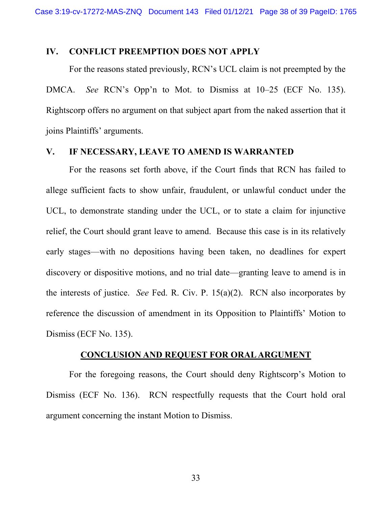### **IV. CONFLICT PREEMPTION DOES NOT APPLY**

For the reasons stated previously, RCN's UCL claim is not preempted by the DMCA. *See* RCN's Opp'n to Mot. to Dismiss at 10–25 (ECF No. 135). Rightscorp offers no argument on that subject apart from the naked assertion that it joins Plaintiffs' arguments.

# **V. IF NECESSARY, LEAVE TO AMEND IS WARRANTED**

For the reasons set forth above, if the Court finds that RCN has failed to allege sufficient facts to show unfair, fraudulent, or unlawful conduct under the UCL, to demonstrate standing under the UCL, or to state a claim for injunctive relief, the Court should grant leave to amend. Because this case is in its relatively early stages—with no depositions having been taken, no deadlines for expert discovery or dispositive motions, and no trial date—granting leave to amend is in the interests of justice. *See* Fed. R. Civ. P. 15(a)(2). RCN also incorporates by reference the discussion of amendment in its Opposition to Plaintiffs' Motion to Dismiss (ECF No. 135).

#### **CONCLUSION AND REQUEST FOR ORAL ARGUMENT**

 For the foregoing reasons, the Court should deny Rightscorp's Motion to Dismiss (ECF No. 136). RCN respectfully requests that the Court hold oral argument concerning the instant Motion to Dismiss.